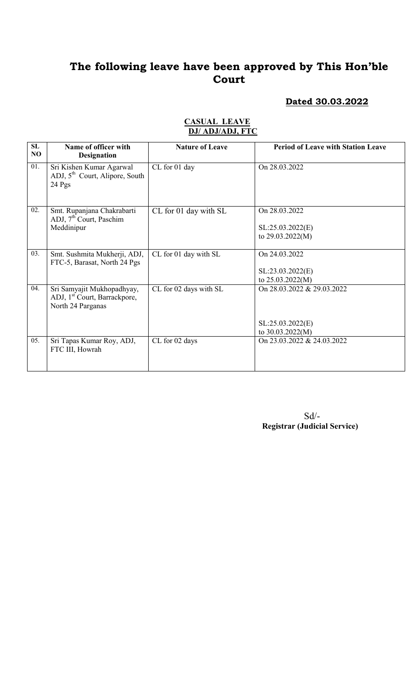#### Dated 30.03.2022

| SL<br>NO | Name of officer with<br><b>Designation</b>                                                  | <b>Nature of Leave</b> | <b>Period of Leave with Station Leave</b>                            |
|----------|---------------------------------------------------------------------------------------------|------------------------|----------------------------------------------------------------------|
| 01.      | Sri Kishen Kumar Agarwal<br>ADJ, 5 <sup>th</sup> Court, Alipore, South<br>$24$ Pgs          | CL for 01 day          | On 28.03.2022                                                        |
| 02.      | Smt. Rupanjana Chakrabarti<br>ADJ, 7 <sup>th</sup> Court, Paschim<br>Meddinipur             | CL for 01 day with SL  | On 28.03.2022<br>SL:25.03.2022(E)<br>to 29.03.2022(M)                |
| 03.      | Smt. Sushmita Mukherji, ADJ,<br>FTC-5, Barasat, North 24 Pgs                                | CL for 01 day with SL  | On 24.03.2022<br>SL:23.03.2022(E)<br>to 25.03.2022(M)                |
| 04.      | Sri Samyajit Mukhopadhyay,<br>ADJ, 1 <sup>st</sup> Court, Barrackpore,<br>North 24 Parganas | CL for 02 days with SL | On 28.03.2022 & 29.03.2022<br>SL:25.03.2022(E)<br>to $30.03.2022(M)$ |
| 05.      | Sri Tapas Kumar Roy, ADJ,<br>FTC III, Howrah                                                | CL for 02 days         | On 23.03.2022 & 24.03.2022                                           |

#### CASUAL LEAVE DJ/ ADJ/ADJ, FTC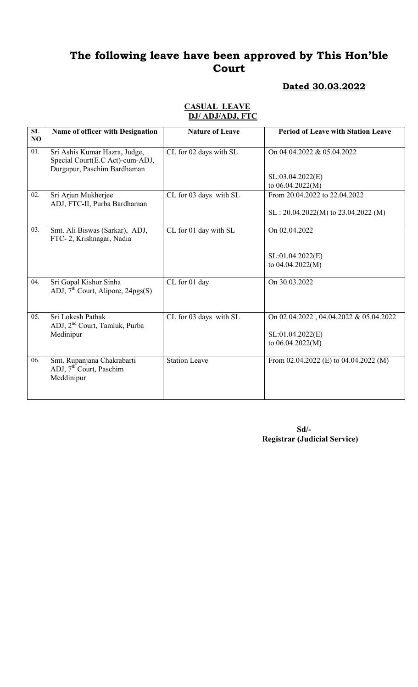## Dated 30.03.2022

| SL<br>NO | Name of officer with Designation                                                                | <b>Nature of Leave</b> | <b>Period of Leave with Station Leave</b>                                        |
|----------|-------------------------------------------------------------------------------------------------|------------------------|----------------------------------------------------------------------------------|
| 01.      | Sri Ashis Kumar Hazra, Judge,<br>Special Court(E.C Act)-cum-ADJ,<br>Durgapur, Paschim Bardhaman | CL for 02 days with SL | On 04.04.2022 & 05.04.2022<br>SL:03.04.2022(E)<br>to 06.04.2022(M)               |
| 02.      | Sri Arjun Mukherjee<br>ADJ, FTC-II, Purba Bardhaman                                             | CL for 03 days with SL | From 20.04.2022 to 22.04.2022<br>$SL: 20.04.2022(M)$ to 23.04.2022 (M)           |
| 03.      | Smt. Ali Biswas (Sarkar), ADJ,<br>FTC-2, Krishnagar, Nadia                                      | CL for 01 day with SL  | On 02.04.2022<br>SL:01.04.2022(E)<br>to $04.04.2022(M)$                          |
| 04.      | Sri Gopal Kishor Sinha<br>ADJ, $7^{\text{th}}$ Court, Alipore, 24pgs(S)                         | CL for 01 day          | On 30.03.2022                                                                    |
| 05.      | Sri Lokesh Pathak<br>ADJ, 2 <sup>nd</sup> Court, Tamluk, Purba<br>Medinipur                     | CL for 03 days with SL | On 02.04.2022, 04.04.2022 & 05.04.2022<br>SL:01.04.2022(E)<br>to $06.04.2022(M)$ |
| 06.      | Smt. Rupanjana Chakrabarti<br>ADJ, 7 <sup>th</sup> Court, Paschim<br>Meddinipur                 | Station Leave          | From $02.04.2022$ (E) to $04.04.2022$ (M)                                        |

#### CASUAL LEAVE DJ/ ADJ/ADJ, FTC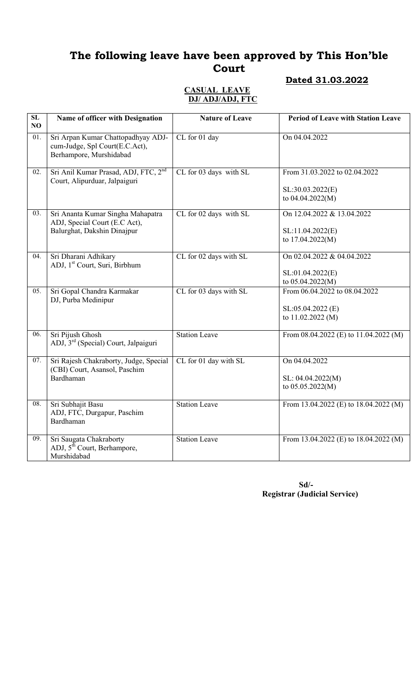#### CASUAL LEAVE DJ/ ADJ/ADJ, FTC

| Dated 31.03.2022 |
|------------------|
|                  |

| $\overline{\text{SL}}$<br>NO | Name of officer with Designation                                                                  | <b>Nature of Leave</b> | <b>Period of Leave with Station Leave</b>                               |
|------------------------------|---------------------------------------------------------------------------------------------------|------------------------|-------------------------------------------------------------------------|
| 01.                          | Sri Arpan Kumar Chattopadhyay ADJ-<br>cum-Judge, Spl Court(E.C.Act),<br>Berhampore, Murshidabad   | CL for 01 day          | On 04.04.2022                                                           |
| 02.                          | Sri Anil Kumar Prasad, ADJ, FTC, 2 <sup>nd</sup><br>Court, Alipurduar, Jalpaiguri                 | CL for 03 days with SL | From 31.03.2022 to 02.04.2022<br>SL:30.03.2022(E)<br>to 04.04.2022(M)   |
| $\overline{03}$ .            | Sri Ananta Kumar Singha Mahapatra<br>ADJ, Special Court (E.C Act),<br>Balurghat, Dakshin Dinajpur | CL for 02 days with SL | On 12.04.2022 & 13.04.2022<br>SL:11.04.2022(E)<br>to 17.04.2022(M)      |
| 04.                          | Sri Dharani Adhikary<br>ADJ, 1 <sup>st</sup> Court, Suri, Birbhum                                 | CL for 02 days with SL | On 02.04.2022 & 04.04.2022<br>SL:01.04.2022(E)<br>to 05.04.2022(M)      |
| 05.                          | Sri Gopal Chandra Karmakar<br>DJ, Purba Medinipur                                                 | CL for 03 days with SL | From 06.04.2022 to 08.04.2022<br>SL:05.04.2022 (E)<br>to 11.02.2022 (M) |
| 06.                          | Sri Pijush Ghosh<br>ADJ, 3 <sup>rd</sup> (Special) Court, Jalpaiguri                              | <b>Station Leave</b>   | From $08.04.2022$ (E) to $11.04.2022$ (M)                               |
| 07.                          | Sri Rajesh Chakraborty, Judge, Special<br>(CBI) Court, Asansol, Paschim<br>Bardhaman              | CL for 01 day with SL  | On 04.04.2022<br>SL: 04.04.2022(M)<br>to 05.05.2022(M)                  |
| 08.                          | Sri Subhajit Basu<br>ADJ, FTC, Durgapur, Paschim<br>Bardhaman                                     | <b>Station Leave</b>   | From 13.04.2022 (E) to 18.04.2022 (M)                                   |
| 09.                          | Sri Saugata Chakraborty<br>ADJ, $5^{\text{th}}$ Court, Berhampore,<br>Murshidabad                 | <b>Station Leave</b>   | From 13.04.2022 (E) to 18.04.2022 (M)                                   |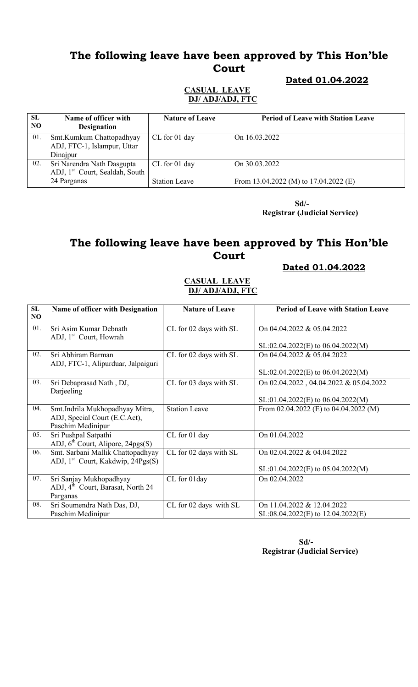#### Dated 01.04.2022

#### CASUAL LEAVE DJ/ ADJ/ADJ, FTC

| SL<br>NO. | Name of officer with<br><b>Designation</b>                               | <b>Nature of Leave</b> | <b>Period of Leave with Station Leave</b> |
|-----------|--------------------------------------------------------------------------|------------------------|-------------------------------------------|
| 01.       | Smt.Kumkum Chattopadhyay<br>ADJ, FTC-1, Islampur, Uttar<br>Dinajpur      | CL for 01 day          | On 16.03.2022                             |
| 02.       | Sri Narendra Nath Dasgupta<br>ADJ, 1 <sup>st</sup> Court, Sealdah, South | CL for 01 day          | On 30.03.2022                             |
|           | 24 Parganas                                                              | <b>Station Leave</b>   | From 13.04.2022 (M) to $17.04.2022$ (E)   |

 Sd/- Registrar (Judicial Service)

# The following leave have been approved by This Hon'ble Court

#### Dated 01.04.2022

#### CASUAL LEAVE DJ/ ADJ/ADJ, FTC

| SL<br>NO | Name of officer with Designation                             | <b>Nature of Leave</b> | <b>Period of Leave with Station Leave</b> |
|----------|--------------------------------------------------------------|------------------------|-------------------------------------------|
| 01.      | Sri Asim Kumar Debnath<br>ADJ, 1 <sup>st</sup> Court, Howrah | CL for 02 days with SL | On 04.04.2022 & 05.04.2022                |
|          |                                                              |                        | $SL: 02.04.2022(E)$ to 06.04.2022(M)      |
| 02.      | Sri Abhiram Barman<br>ADJ, FTC-1, Alipurduar, Jalpaiguri     | CL for 02 days with SL | On 04.04.2022 & 05.04.2022                |
|          |                                                              |                        | $SL: 02.04.2022(E)$ to 06.04.2022(M)      |
| 03.      | Sri Debaprasad Nath, DJ,<br>Darjeeling                       | CL for 03 days with SL | On 02.04.2022, 04.04.2022 & 05.04.2022    |
|          |                                                              |                        | $SL:01.04.2022(E)$ to 06.04.2022(M)       |
| 04.      | Smt.Indrila Mukhopadhyay Mitra,                              | <b>Station Leave</b>   | From 02.04.2022 (E) to 04.04.2022 (M)     |
|          | ADJ, Special Court (E.C.Act),<br>Paschim Medinipur           |                        |                                           |
| 05.      | Sri Pushpal Satpathi                                         | CL for 01 day          | On 01.04.2022                             |
|          | ADJ, $6th$ Court, Alipore, 24pgs(S)                          |                        |                                           |
| 06.      | Smt. Sarbani Mallik Chattopadhyay                            | CL for 02 days with SL | On 02.04.2022 & 04.04.2022                |
|          | ADJ, 1 <sup>st</sup> Court, Kakdwip, 24Pgs(S)                |                        |                                           |
|          |                                                              |                        | $SL:01.04.2022(E)$ to 05.04.2022(M)       |
| 07.      | Sri Sanjay Mukhopadhyay                                      | CL for 01day           | On 02.04.2022                             |
|          | ADJ, 4 <sup>th</sup> Court, Barasat, North 24                |                        |                                           |
|          | Parganas                                                     |                        |                                           |
| 08.      | Sri Soumendra Nath Das, DJ,                                  | CL for 02 days with SL | On 11.04.2022 & 12.04.2022                |
|          | Paschim Medinipur                                            |                        | $SL:08.04.2022(E)$ to $12.04.2022(E)$     |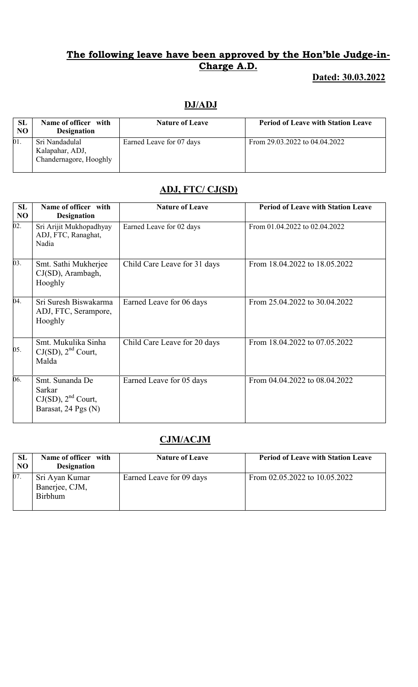# Dated: 30.03.2022

# DJ/ADJ

| SL<br>NO | Name of officer with<br><b>Designation</b>                  | <b>Nature of Leave</b>   | <b>Period of Leave with Station Leave</b> |
|----------|-------------------------------------------------------------|--------------------------|-------------------------------------------|
| 01.      | Sri Nandadulal<br>Kalapahar, ADJ,<br>Chandernagore, Hooghly | Earned Leave for 07 days | From 29.03.2022 to 04.04.2022             |

# ADJ, FTC/ CJ(SD)

| <b>SL</b><br>N <sub>O</sub> | Name of officer with<br><b>Designation</b>                                  | <b>Nature of Leave</b>       | <b>Period of Leave with Station Leave</b> |
|-----------------------------|-----------------------------------------------------------------------------|------------------------------|-------------------------------------------|
| $\overline{02}$ .           | Sri Arijit Mukhopadhyay<br>ADJ, FTC, Ranaghat,<br>Nadia                     | Earned Leave for 02 days     | From 01.04.2022 to 02.04.2022             |
| 03.                         | Smt. Sathi Mukherjee<br>CJ(SD), Arambagh,<br>Hooghly                        | Child Care Leave for 31 days | From 18.04.2022 to 18.05.2022             |
| 04.                         | Sri Suresh Biswakarma<br>ADJ, FTC, Serampore,<br>Hooghly                    | Earned Leave for 06 days     | From 25.04.2022 to 30.04.2022             |
| 05.                         | Smt. Mukulika Sinha<br>$CJ(SD)$ , $2nd$ Court,<br>Malda                     | Child Care Leave for 20 days | From 18.04.2022 to 07.05.2022             |
| 06.                         | Smt. Sunanda De<br>Sarkar<br>$CJ(SD)$ , $2nd$ Court,<br>Barasat, 24 Pgs (N) | Earned Leave for 05 days     | From 04.04.2022 to 08.04.2022             |

# CJM/ACJM

| <b>SL</b><br><b>NO</b> | Name of officer with<br><b>Designation</b>         | <b>Nature of Leave</b>   | <b>Period of Leave with Station Leave</b> |
|------------------------|----------------------------------------------------|--------------------------|-------------------------------------------|
| 07.                    | Sri Ayan Kumar<br>Banerjee, CJM,<br><b>Birbhum</b> | Earned Leave for 09 days | From 02.05.2022 to 10.05.2022             |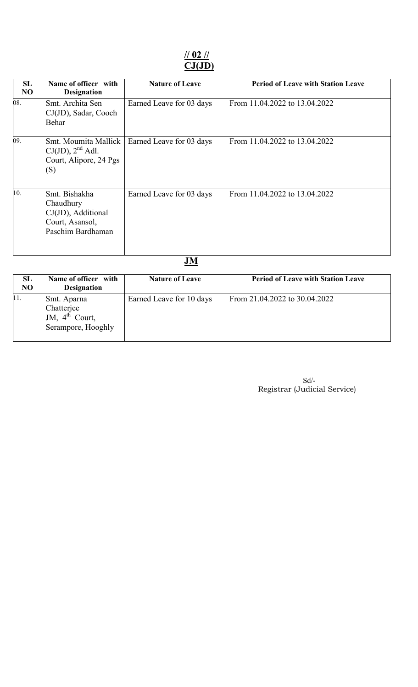## // 02 // CJ(JD)

| 08.<br>Smt. Archita Sen<br>From 11.04.2022 to 13.04.2022<br>Earned Leave for 03 days<br>CJ(JD), Sadar, Cooch<br>Behar<br>09.<br>Smt. Moumita Mallick<br>Earned Leave for 03 days<br>From 11.04.2022 to 13.04.2022<br>$CJ(JD)$ , $2nd$ Adl.<br>Court, Alipore, 24 Pgs<br>(S)<br>10.<br>Smt. Bishakha<br>From 11.04.2022 to 13.04.2022<br>Earned Leave for 03 days<br>Chaudhury<br>CJ(JD), Additional<br>Court, Asansol,<br>Paschim Bardhaman | <b>SL</b><br>NO | Name of officer with<br><b>Designation</b> | <b>Nature of Leave</b> | <b>Period of Leave with Station Leave</b> |
|---------------------------------------------------------------------------------------------------------------------------------------------------------------------------------------------------------------------------------------------------------------------------------------------------------------------------------------------------------------------------------------------------------------------------------------------|-----------------|--------------------------------------------|------------------------|-------------------------------------------|
|                                                                                                                                                                                                                                                                                                                                                                                                                                             |                 |                                            |                        |                                           |
|                                                                                                                                                                                                                                                                                                                                                                                                                                             |                 |                                            |                        |                                           |
|                                                                                                                                                                                                                                                                                                                                                                                                                                             |                 |                                            |                        |                                           |

| <b>SL</b><br>NO | Name of officer with<br><b>Designation</b>                                    | <b>Nature of Leave</b>   | <b>Period of Leave with Station Leave</b> |
|-----------------|-------------------------------------------------------------------------------|--------------------------|-------------------------------------------|
| 11.             | Smt. Aparna<br>Chatterjee<br>JM, $4^{\text{th}}$ Court,<br>Serampore, Hooghly | Earned Leave for 10 days | From 21.04.2022 to 30.04.2022             |

| Sd                           |
|------------------------------|
| Registrar (Judicial Service) |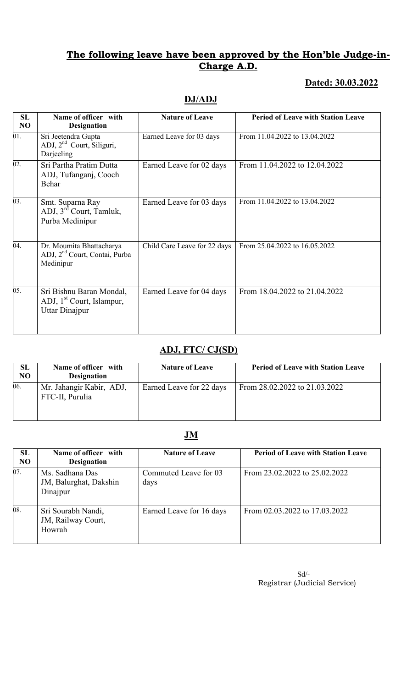# Dated: 30.03.2022

# DJ/ADJ

| SL<br>NO          | Name of officer with<br><b>Designation</b>                                          | <b>Nature of Leave</b>       | <b>Period of Leave with Station Leave</b> |
|-------------------|-------------------------------------------------------------------------------------|------------------------------|-------------------------------------------|
| $\overline{01}$ . | Sri Jeetendra Gupta<br>ADJ, 2 <sup>nd</sup> Court, Siliguri,<br>Darjeeling          | Earned Leave for 03 days     | From 11.04.2022 to 13.04.2022             |
| 02.               | Sri Partha Pratim Dutta<br>ADJ, Tufanganj, Cooch<br>Behar                           | Earned Leave for 02 days     | From 11.04.2022 to 12.04.2022             |
| $\overline{03}$ . | Smt. Suparna Ray<br>ADJ, 3 <sup>rd</sup> Court, Tamluk,<br>Purba Medinipur          | Earned Leave for 03 days     | From 11.04.2022 to 13.04.2022             |
| 04.               | Dr. Moumita Bhattacharya<br>ADJ, 2 <sup>nd</sup> Court, Contai, Purba<br>Medinipur  | Child Care Leave for 22 days | From 25.04.2022 to 16.05.2022             |
| 05.               | Sri Bishnu Baran Mondal,<br>ADJ, 1 <sup>st</sup> Court, Islampur,<br>Uttar Dinajpur | Earned Leave for 04 days     | From 18.04.2022 to 21.04.2022             |

# ADJ, FTC/ CJ(SD)

| <b>SL</b><br>NO. | Name of officer with<br><b>Designation</b>  | <b>Nature of Leave</b>   | <b>Period of Leave with Station Leave</b> |
|------------------|---------------------------------------------|--------------------------|-------------------------------------------|
| 06.              | Mr. Jahangir Kabir, ADJ,<br>FTC-II, Purulia | Earned Leave for 22 days | From 28.02.2022 to 21.03.2022             |

# JM

| SL<br>N <sub>O</sub> | Name of officer with<br><b>Designation</b>            | <b>Nature of Leave</b>        | <b>Period of Leave with Station Leave</b> |
|----------------------|-------------------------------------------------------|-------------------------------|-------------------------------------------|
| 07.                  | Ms. Sadhana Das<br>JM, Balurghat, Dakshin<br>Dinajpur | Commuted Leave for 03<br>days | From 23.02.2022 to 25.02.2022             |
| 08.                  | Sri Sourabh Nandi,<br>JM, Railway Court,<br>Howrah    | Earned Leave for 16 days      | From 02.03.2022 to 17.03.2022             |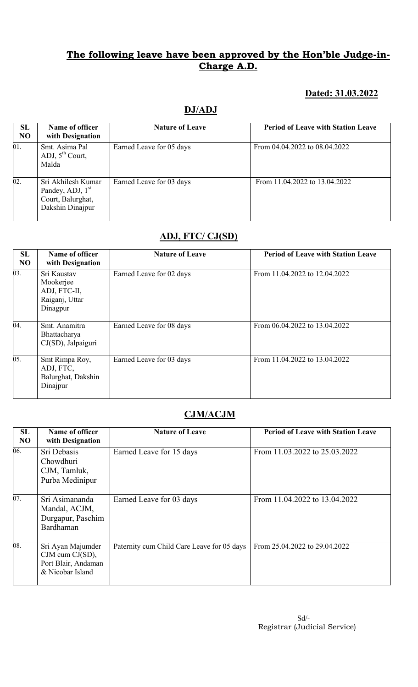# Dated: 31.03.2022

| <b>SL</b><br><b>NO</b> | Name of officer<br>with Designation                                                         | <b>Nature of Leave</b>   | <b>Period of Leave with Station Leave</b> |
|------------------------|---------------------------------------------------------------------------------------------|--------------------------|-------------------------------------------|
| 01.                    | Smt. Asima Pal<br>ADJ, $5^{th}$ Court,<br>Malda                                             | Earned Leave for 05 days | From 04.04.2022 to 08.04.2022             |
| 02.                    | Sri Akhilesh Kumar<br>Pandey, ADJ, 1 <sup>st</sup><br>Court, Balurghat,<br>Dakshin Dinajpur | Earned Leave for 03 days | From 11.04.2022 to 13.04.2022             |

## ADJ, FTC/ CJ(SD)

| SL<br>N <sub>O</sub> | Name of officer<br>with Designation                                    | <b>Nature of Leave</b>   | <b>Period of Leave with Station Leave</b> |
|----------------------|------------------------------------------------------------------------|--------------------------|-------------------------------------------|
| 03.                  | Sri Kaustav<br>Mookerjee<br>ADJ, FTC-II,<br>Raiganj, Uttar<br>Dinagpur | Earned Leave for 02 days | From 11.04.2022 to 12.04.2022             |
| 04.                  | Smt. Anamitra<br>Bhattacharya<br>CJ(SD), Jalpaiguri                    | Earned Leave for 08 days | From 06.04.2022 to 13.04.2022             |
| 05.                  | Smt Rimpa Roy,<br>ADJ, FTC,<br>Balurghat, Dakshin<br>Dinajpur          | Earned Leave for 03 days | From 11.04.2022 to 13.04.2022             |

# CJM/ACJM

| SL<br>N <sub>O</sub> | Name of officer<br>with Designation                                                  | <b>Nature of Leave</b>                     | <b>Period of Leave with Station Leave</b> |
|----------------------|--------------------------------------------------------------------------------------|--------------------------------------------|-------------------------------------------|
| 06.                  | Sri Debasis<br>Chowdhuri<br>CJM, Tamluk,<br>Purba Medinipur                          | Earned Leave for 15 days                   | From 11.03.2022 to 25.03.2022             |
| 07.                  | Sri Asimananda<br>Mandal, ACJM,<br>Durgapur, Paschim<br>Bardhaman                    | Earned Leave for 03 days                   | From 11.04.2022 to 13.04.2022             |
| $\overline{08}$ .    | Sri Ayan Majumder<br>$CJM$ cum $CJ(SD)$ ,<br>Port Blair, Andaman<br>& Nicobar Island | Paternity cum Child Care Leave for 05 days | From 25.04.2022 to 29.04.2022             |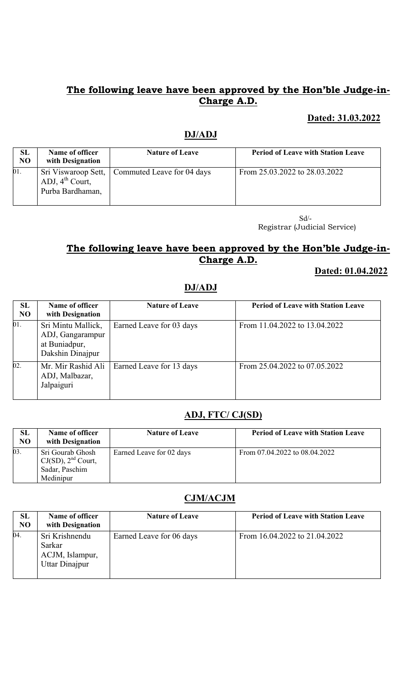## Dated: 31.03.2022

## DJ/ADJ

| <b>SL</b><br><b>NO</b> | Name of officer<br>with Designation      | <b>Nature of Leave</b>                           | <b>Period of Leave with Station Leave</b> |
|------------------------|------------------------------------------|--------------------------------------------------|-------------------------------------------|
| 01.                    | ADJ, $4^{th}$ Court,<br>Purba Bardhaman, | Sri Viswaroop Sett,   Commuted Leave for 04 days | From 25.03.2022 to 28.03.2022             |

 Sd/- Registrar (Judicial Service)

# The following leave have been approved by the Hon'ble Judge-in-Charge A.D.

#### Dated: 01.04.2022

## DJ/ADJ

| SL<br><b>NO</b> | Name of officer<br>with Designation                                         | <b>Nature of Leave</b>   | <b>Period of Leave with Station Leave</b> |
|-----------------|-----------------------------------------------------------------------------|--------------------------|-------------------------------------------|
| 01.             | Sri Mintu Mallick,<br>ADJ, Gangarampur<br>at Buniadpur,<br>Dakshin Dinajpur | Earned Leave for 03 days | From 11.04.2022 to 13.04.2022             |
| 02.             | Mr. Mir Rashid Ali<br>ADJ, Malbazar,<br>Jalpaiguri                          | Earned Leave for 13 days | From 25.04.2022 to 07.05.2022             |

## ADJ, FTC/ CJ(SD)

| SL<br>N <sub>O</sub> | Name of officer<br>with Designation                                        | <b>Nature of Leave</b>   | <b>Period of Leave with Station Leave</b> |
|----------------------|----------------------------------------------------------------------------|--------------------------|-------------------------------------------|
| 03.                  | Sri Gourab Ghosh<br>$CJ(SD)$ , $2nd$ Court,<br>Sadar, Paschim<br>Medinipur | Earned Leave for 02 days | From 07.04.2022 to 08.04.2022             |

## CJM/ACJM

| SL<br>N <sub>O</sub> | Name of officer<br>with Designation                           | <b>Nature of Leave</b>   | <b>Period of Leave with Station Leave</b> |
|----------------------|---------------------------------------------------------------|--------------------------|-------------------------------------------|
| 04.                  | Sri Krishnendu<br>Sarkar<br>ACJM, Islampur,<br>Uttar Dinajpur | Earned Leave for 06 days | From 16.04.2022 to 21.04.2022             |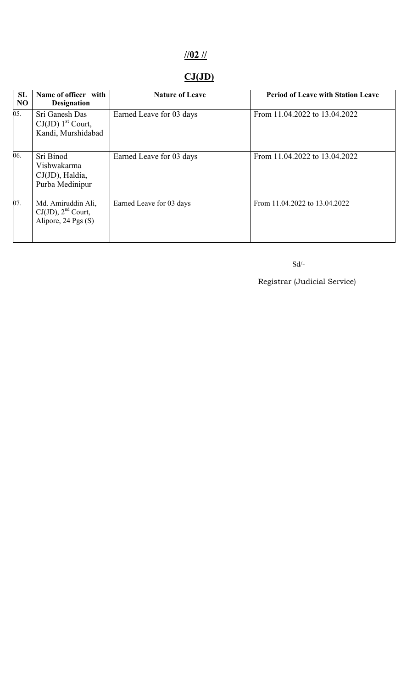# //02 //

# $CJ(JD)$

| <b>SL</b><br>N <sub>O</sub> | Name of officer with<br><b>Designation</b>                           | <b>Nature of Leave</b>   | <b>Period of Leave with Station Leave</b> |
|-----------------------------|----------------------------------------------------------------------|--------------------------|-------------------------------------------|
| 05.                         | Sri Ganesh Das<br>$CJ(JD) 1st$ Court,<br>Kandi, Murshidabad          | Earned Leave for 03 days | From 11.04.2022 to 13.04.2022             |
| 06.                         | Sri Binod<br>Vishwakarma<br>$CJ(JD)$ , Haldia,<br>Purba Medinipur    | Earned Leave for 03 days | From 11.04.2022 to 13.04.2022             |
| 07.                         | Md. Amiruddin Ali,<br>$CJ(JD)$ , $2nd$ Court,<br>Alipore, 24 Pgs (S) | Earned Leave for 03 days | From 11.04.2022 to 13.04.2022             |

Sd/-